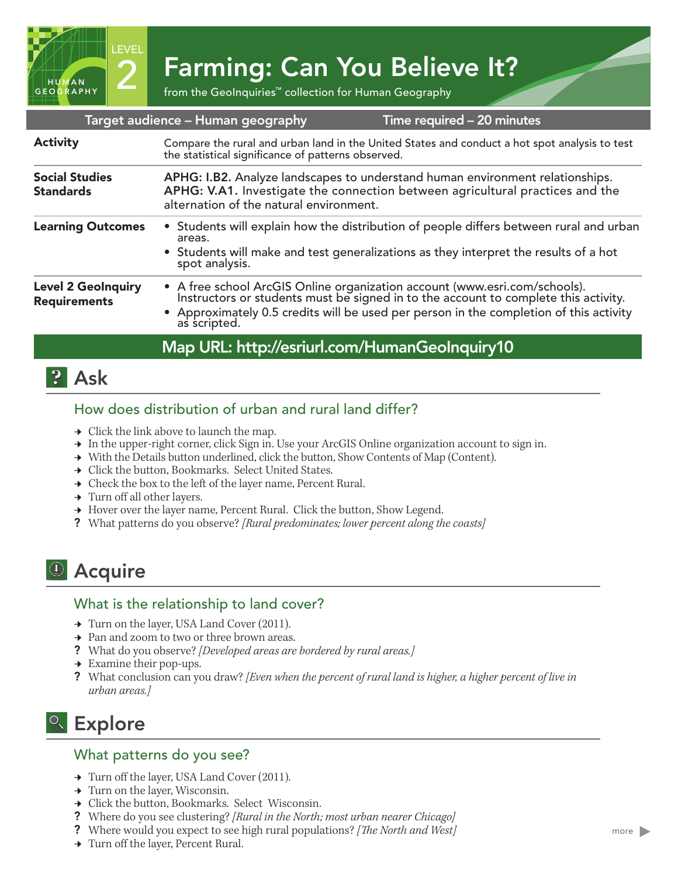2 Farming: Can You Believe It?

|                                                  | Target audience - Human geography                                                                                                                                                                          | Time required - 20 minutes                                                                                                                                                                                                                                  |
|--------------------------------------------------|------------------------------------------------------------------------------------------------------------------------------------------------------------------------------------------------------------|-------------------------------------------------------------------------------------------------------------------------------------------------------------------------------------------------------------------------------------------------------------|
| <b>Activity</b>                                  | Compare the rural and urban land in the United States and conduct a hot spot analysis to test<br>the statistical significance of patterns observed.                                                        |                                                                                                                                                                                                                                                             |
| <b>Social Studies</b><br><b>Standards</b>        | APHG: I.B2. Analyze landscapes to understand human environment relationships.<br>APHG: V.A1. Investigate the connection between agricultural practices and the<br>alternation of the natural environment.  |                                                                                                                                                                                                                                                             |
| <b>Learning Outcomes</b>                         | • Students will explain how the distribution of people differs between rural and urban<br>areas.<br>• Students will make and test generalizations as they interpret the results of a hot<br>spot analysis. |                                                                                                                                                                                                                                                             |
| <b>Level 2 GeoInquiry</b><br><b>Requirements</b> | as scripted.                                                                                                                                                                                               | • A free school ArcGIS Online organization account (www.esri.com/schools).<br>Instructors or students must be signed in to the account to complete this activity.<br>• Approximately 0.5 credits will be used per person in the completion of this activity |
|                                                  | Map URL: http://esriurl.com/HumanGeolnquiry10                                                                                                                                                              |                                                                                                                                                                                                                                                             |

# **P** Ask

HUMAN GEOGRAPHY LEVEL

### How does distribution of urban and rural land differ?

- $\rightarrow$  Click the link above to launch the map.
- → In the upper-right corner, click Sign in. Use your ArcGIS Online organization account to sign in.
- → With the Details button underlined, click the button, Show Contents of Map (Content).
- **→** Click the button, Bookmarks. Select United States.
- → Check the box to the left of the layer name, Percent Rural.
- $\rightarrow$  Turn off all other layers.
- → Hover over the layer name, Percent Rural. Click the button, Show Legend.
- ? What patterns do you observe? *[Rural predominates; lower percent along the coasts]*

## <sup>(1)</sup> Acquire

#### What is the relationship to land cover?

- ʅ Turn on the layer, USA Land Cover (2011).
- **→** Pan and zoom to two or three brown areas.
- ? What do you observe? *[Developed areas are bordered by rural areas.]*
- $\rightarrow$  Examine their pop-ups.
- ? What conclusion can you draw? *[Even when the percent of rural land is higher, a higher percent of live in urban areas.]*

# <sup>Q</sup> Explore

#### What patterns do you see?

- ʅ Turn off the layer, USA Land Cover (2011).
- $\rightarrow$  Turn on the layer, Wisconsin.
- → Click the button, Bookmarks. Select Wisconsin.
- ? Where do you see clustering? *[Rural in the North; most urban nearer Chicago]*
- ? Where would you expect to see high rural populations? *[The North and West]*
- → Turn off the layer, Percent Rural.